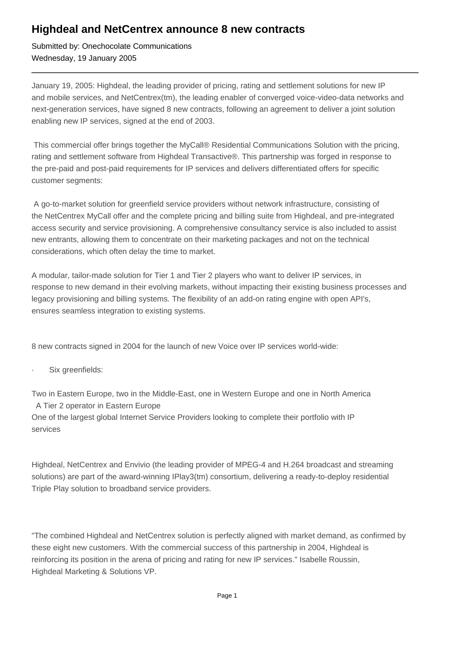## **Highdeal and NetCentrex announce 8 new contracts**

Submitted by: Onechocolate Communications Wednesday, 19 January 2005

January 19, 2005: Highdeal, the leading provider of pricing, rating and settlement solutions for new IP and mobile services, and NetCentrex(tm), the leading enabler of converged voice-video-data networks and next-generation services, have signed 8 new contracts, following an agreement to deliver a joint solution enabling new IP services, signed at the end of 2003.

 This commercial offer brings together the MyCall® Residential Communications Solution with the pricing, rating and settlement software from Highdeal Transactive®. This partnership was forged in response to the pre-paid and post-paid requirements for IP services and delivers differentiated offers for specific customer segments:

 A go-to-market solution for greenfield service providers without network infrastructure, consisting of the NetCentrex MyCall offer and the complete pricing and billing suite from Highdeal, and pre-integrated access security and service provisioning. A comprehensive consultancy service is also included to assist new entrants, allowing them to concentrate on their marketing packages and not on the technical considerations, which often delay the time to market.

A modular, tailor-made solution for Tier 1 and Tier 2 players who want to deliver IP services, in response to new demand in their evolving markets, without impacting their existing business processes and legacy provisioning and billing systems. The flexibility of an add-on rating engine with open API's, ensures seamless integration to existing systems.

8 new contracts signed in 2004 for the launch of new Voice over IP services world-wide:

Six greenfields:

Two in Eastern Europe, two in the Middle-East, one in Western Europe and one in North America

A Tier 2 operator in Eastern Europe

One of the largest global Internet Service Providers looking to complete their portfolio with IP services

Highdeal, NetCentrex and Envivio (the leading provider of MPEG-4 and H.264 broadcast and streaming solutions) are part of the award-winning IPlay3(tm) consortium, delivering a ready-to-deploy residential Triple Play solution to broadband service providers.

"The combined Highdeal and NetCentrex solution is perfectly aligned with market demand, as confirmed by these eight new customers. With the commercial success of this partnership in 2004, Highdeal is reinforcing its position in the arena of pricing and rating for new IP services." Isabelle Roussin, Highdeal Marketing & Solutions VP.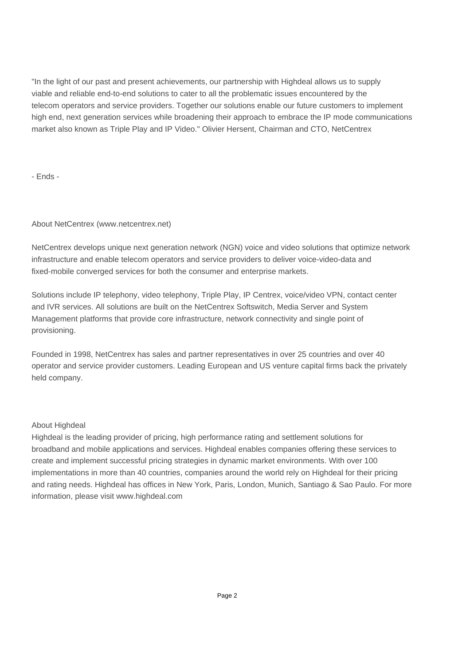"In the light of our past and present achievements, our partnership with Highdeal allows us to supply viable and reliable end-to-end solutions to cater to all the problematic issues encountered by the telecom operators and service providers. Together our solutions enable our future customers to implement high end, next generation services while broadening their approach to embrace the IP mode communications market also known as Triple Play and IP Video." Olivier Hersent, Chairman and CTO, NetCentrex

- Ends -

## About NetCentrex (www.netcentrex.net)

NetCentrex develops unique next generation network (NGN) voice and video solutions that optimize network infrastructure and enable telecom operators and service providers to deliver voice-video-data and fixed-mobile converged services for both the consumer and enterprise markets.

Solutions include IP telephony, video telephony, Triple Play, IP Centrex, voice/video VPN, contact center and IVR services. All solutions are built on the NetCentrex Softswitch, Media Server and System Management platforms that provide core infrastructure, network connectivity and single point of provisioning.

Founded in 1998, NetCentrex has sales and partner representatives in over 25 countries and over 40 operator and service provider customers. Leading European and US venture capital firms back the privately held company.

## About Highdeal

Highdeal is the leading provider of pricing, high performance rating and settlement solutions for broadband and mobile applications and services. Highdeal enables companies offering these services to create and implement successful pricing strategies in dynamic market environments. With over 100 implementations in more than 40 countries, companies around the world rely on Highdeal for their pricing and rating needs. Highdeal has offices in New York, Paris, London, Munich, Santiago & Sao Paulo. For more information, please visit www.highdeal.com